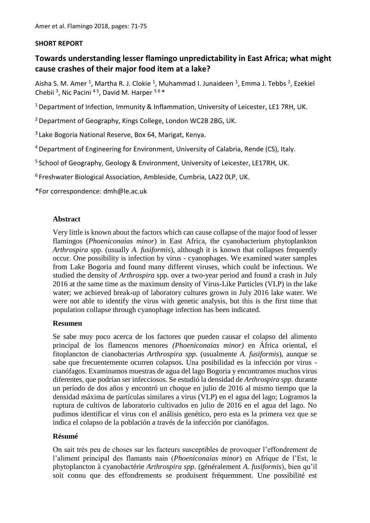### **SHORT REPORT**

# **Towards understanding lesser flamingo unpredictability in East Africa; what might cause crashes of their major food item at a lake?**

Aisha S. M. Amer <sup>1</sup>, Martha R. J. Clokie <sup>1</sup>, Muhammad I. Junaideen <sup>1</sup>, Emma J. Tebbs <sup>2</sup>, Ezekiel Chebii<sup>3</sup>, Nic Pacini<sup>45</sup>, David M. Harper<sup>56\*</sup>

<sup>1</sup> Department of Infection, Immunity & Inflammation, University of Leicester, LE1 7RH, UK.

<sup>2</sup> Department of Geography, Kings College, London WC2B 2BG, UK.

<sup>3</sup>Lake Bogoria National Reserve, Box 64, Marigat, Kenya.

<sup>4</sup>Department of Engineering for Environment, University of Calabria, Rende (CS), Italy.

<sup>5</sup> School of Geography, Geology & Environment, University of Leicester, LE17RH, UK.

<sup>6</sup>Freshwater Biological Association, Ambleside, Cumbria, LA22 0LP, UK.

\*For correspondence: dmh@le.ac.uk

### **Abstract**

Very little is known about the factors which can cause collapse of the major food of lesser flamingos (*Phoeniconaias minor*) in East Africa, the cyanobacterium phytoplankton *Arthrospira* spp. (usually *A. fusiformis*), although it is known that collapses frequently occur. One possibility is infection by virus - cyanophages. We examined water samples from Lake Bogoria and found many different viruses, which could be infectious. We studied the density of *Arthrospira* spp. over a two-year period and found a crash in July 2016 at the same time as the maximum density of Virus-Like Particles (VLP) in the lake water; we achieved break-up of laboratory cultures grown in July 2016 lake water. We were not able to identify the virus with genetic analysis, but this is the first time that population collapse through cyanophage infection has been indicated.

### **Resumen**

Se sabe muy poco acerca de los factores que pueden causar el colapso del alimento principal de los flamencos menores *(Phoeniconaias minor)* en África oriental, el fitoplancton de cianobacterias *Arthrospira spp.* (usualmente *A. fusiformis*), aunque se sabe que frecuentemente ocurren colapsos. Una posibilidad es la infección por virus cianófagos. Examinamos muestras de agua del lago Bogoria y encontramos muchos virus diferentes, que podrían ser infecciosos. Se estudió la densidad de *Arthrospira spp.* durante un período de dos años y encontró un choque en julio de 2016 al mismo tiempo que la densidad máxima de partículas similares a virus (VLP) en el agua del lago; Logramos la ruptura de cultivos de laboratorio cultivados en julio de 2016 en el agua del lago. No pudimos identificar el virus con el análisis genético, pero esta es la primera vez que se indica el colapso de la población a través de la infección por cianófagos.

### **Résumé**

On sait très peu de choses sur les facteurs susceptibles de provoquer l'effondrement de l'aliment principal des flamants nain (*Phoeniconaias minor*) en Afrique de l'Est, le phytoplancton à cyanobactérie *Arthrospira spp*. (généralement *A. fusiformis*), bien qu'il soit connu que des effondrements se produisent fréquemment. Une possibilité est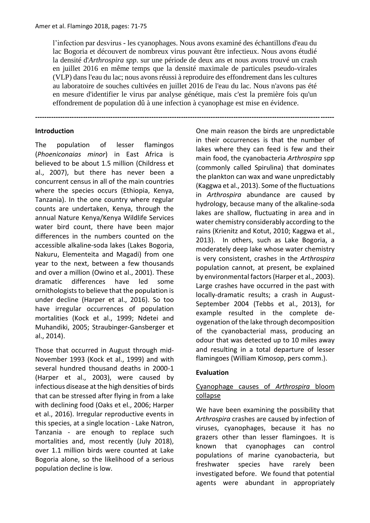l'infection par desvirus - les cyanophages. Nous avons examiné des échantillons d'eau du lac Bogoria et découvert de nombreux virus pouvant être infectieux. Nous avons étudié la densité d'*Arthrospira spp*. sur une période de deux ans et nous avons trouvé un crash en juillet 2016 en même temps que la densité maximale de particules pseudo-virales (VLP) dans l'eau du lac; nous avons réussi à reproduire des effondrement dans les cultures au laboratoire de souches cultivées en juillet 2016 de l'eau du lac. Nous n'avons pas été en mesure d'identifier le virus par analyse génétique, mais c'est la première fois qu'un effondrement de population dû à une infection à cyanophage est mise en évidence.

**-----------------------------------------------------------------------------------------------------------------------------------**

### **Introduction**

The population of lesser flamingos (*Phoeniconaias minor*) in East Africa is believed to be about 1.5 million (Childress et al., 2007), but there has never been a concurrent census in all of the main countries where the species occurs (Ethiopia, Kenya, Tanzania). In the one country where regular counts are undertaken, Kenya, through the annual Nature Kenya/Kenya Wildlife Services water bird count, there have been major differences in the numbers counted on the accessible alkaline-soda lakes (Lakes Bogoria, Nakuru, Elementeita and Magadi) from one year to the next, between a few thousands and over a million (Owino et al., 2001). These dramatic differences have led some ornithologists to believe that the population is under decline (Harper et al., 2016). So too have irregular occurrences of population mortalities (Kock et al., 1999; Ndetei and Muhandiki, 2005; Straubinger-Gansberger et al., 2014).

Those that occurred in August through mid-November 1993 (Kock et al., 1999) and with several hundred thousand deaths in 2000-1 (Harper et al., 2003), were caused by infectious disease at the high densities of birds that can be stressed after flying in from a lake with declining food (Oaks et el., 2006; Harper et al., 2016). Irregular reproductive events in this species, at a single location - Lake Natron, Tanzania - are enough to replace such mortalities and, most recently (July 2018), over 1.1 million birds were counted at Lake Bogoria alone, so the likelihood of a serious population decline is low.

One main reason the birds are unpredictable in their occurrences is that the number of lakes where they can feed is few and their main food, the cyanobacteria *Arthrospira* spp (commonly called Spirulina) that dominates the plankton can wax and wane unpredictably (Kaggwa et al., 2013). Some of the fluctuations in *Arthrospira* abundance are caused by hydrology, because many of the alkaline-soda lakes are shallow, fluctuating in area and in water chemistry considerably according to the rains (Krienitz and Kotut, 2010; Kaggwa et al., 2013). In others, such as Lake Bogoria, a moderately deep lake whose water chemistry is very consistent, crashes in the *Arthrospira* population cannot, at present, be explained by environmental factors (Harper et al., 2003). Large crashes have occurred in the past with locally-dramatic results; a crash in August-September 2004 (Tebbs et al., 2013), for example resulted in the complete deoygenation of the lake through decomposition of the cyanobacterial mass, producing an odour that was detected up to 10 miles away and resulting in a total departure of lesser flamingoes (William Kimosop, pers comm.).

### **Evaluation**

## Cyanophage causes of *Arthrospira* bloom collapse

We have been examining the possibility that *Arthrospira* crashes are caused by infection of viruses, cyanophages, because it has no grazers other than lesser flamingoes. It is known that cyanophages can control populations of marine cyanobacteria, but freshwater species have rarely been investigated before. We found that potential agents were abundant in appropriately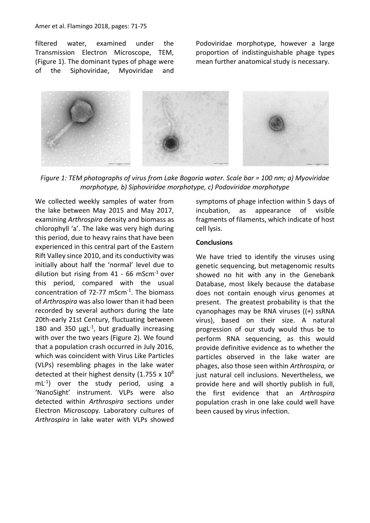filtered water, examined under the Transmission Electron Microscope, TEM, (Figure 1). The dominant types of phage were of the Siphoviridae, Myoviridae and

Podoviridae morphotype, however a large proportion of indistinguishable phage types mean further anatomical study is necessary.



*Figure 1: TEM photographs of virus from Lake Bogoria water. Scale bar = 100 nm; a) Myoviridae morphotype, b) Siphoviridae morphotype, c) Podoviridae morphotype*

We collected weekly samples of water from the lake between May 2015 and May 2017, examining *Arthrospira* density and biomass as chlorophyll 'a'. The lake was very high during this period, due to heavy rains that have been experienced in this central part of the Eastern Rift Valley since 2010, and its conductivity was initially about half the 'normal' level due to dilution but rising from  $41 - 66$  mScm<sup>-1</sup> over this period, compared with the usual concentration of 72-77 mScm<sup>-1</sup>. The biomass of *Arthrospira* was also lower than it had been recorded by several authors during the late 20th-early 21st Century, fluctuating between 180 and 350  $\mu gL^{-1}$ , but gradually increasing with over the two years (Figure 2). We found that a population crash occurred in July 2016, which was coincident with Virus Like Particles (VLPs) resembling phages in the lake water detected at their highest density (1.755 x  $10^8$ ) mL-1 ) over the study period, using a 'NanoSight' instrument. VLPs were also detected within *Arthrospira* sections under Electron Microscopy. Laboratory cultures of *Arthrospira* in lake water with VLPs showed

symptoms of phage infection within 5 days of incubation, as appearance of visible fragments of filaments, which indicate of host cell lysis.

#### **Conclusions**

We have tried to identify the viruses using genetic sequencing, but metagenomic results showed no hit with any in the Genebank Database, most likely because the database does not contain enough virus genomes at present. The greatest probability is that the cyanophages may be RNA viruses ((+) ssRNA virus), based on their size. A natural progression of our study would thus be to perform RNA sequencing, as this would provide definitive evidence as to whether the particles observed in the lake water are phages, also those seen within *Arthrospira,* or just natural cell inclusions. Nevertheless, we provide here and will shortly publish in full, the first evidence that an *Arthrospira* population crash in one lake could well have been caused by virus infection.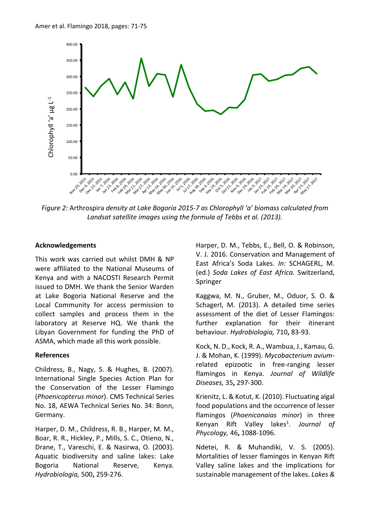

*Figure 2:* Arthrospira *density at Lake Bogoria 2015-7 as Chlorophyll 'a' biomass calculated from Landsat satellite images using the formula of Tebbs et al. (2013).*

#### **Acknowledgements**

This work was carried out whilst DMH & NP were affiliated to the National Museums of Kenya and with a NACOSTI Research Permit issued to DMH. We thank the Senior Warden at Lake Bogoria National Reserve and the Local Community for access permission to collect samples and process them in the laboratory at Reserve HQ. We thank the Libyan Government for funding the PhD of ASMA, which made all this work possible.

#### **References**

Childress, B., Nagy, S. & Hughes, B. (2007). International Single Species Action Plan for the Conservation of the Lesser Flamingo (*Phoenicopterus minor*). CMS Technical Series No. 18, AEWA Technical Series No. 34: Bonn, Germany.

Harper, D. M., Childress, R. B., Harper, M. M., Boar, R. R., Hickley, P., Mills, S. C., Otieno, N., Drane, T., Vareschi, E. & Nasirwa, O. (2003). Aquatic biodiversity and saline lakes: Lake Bogoria National Reserve, Kenya. *Hydrobiologia,* 500**,** 259-276.

Harper, D. M., Tebbs, E., Bell, O. & Robinson, V. J. 2016. Conservation and Management of East Africa's Soda Lakes. *In:* SCHAGERL, M. (ed.) *Soda Lakes of East Africa.* Switzerland, Springer

Kaggwa, M. N., Gruber, M., Oduor, S. O. & Schagerl, M. (2013). A detailed time series assessment of the diet of Lesser Flamingos: further explanation for their itinerant behaviour. *Hydrobiologia,* 710**,** 83-93.

Kock, N. D., Kock, R. A., Wambua, J., Kamau, G. J. & Mohan, K. (1999). *Mycobacterium avium*related epizootic in free-ranging lesser flamingos in Kenya. *Journal of Wildlife Diseases,* 35**,** 297-300.

Krienitz, L. & Kotut, K. (2010). Fluctuating algal food populations and the occurrence of lesser flamingos (*Phoeniconaias minor*) in three Kenyan Rift Valley lakes<sup>1</sup>. Journal of *Phycology,* 46**,** 1088-1096.

Ndetei, R. & Muhandiki, V. S. (2005). Mortalities of lesser flamingos in Kenyan Rift Valley saline lakes and the implications for sustainable management of the lakes. *Lakes &*